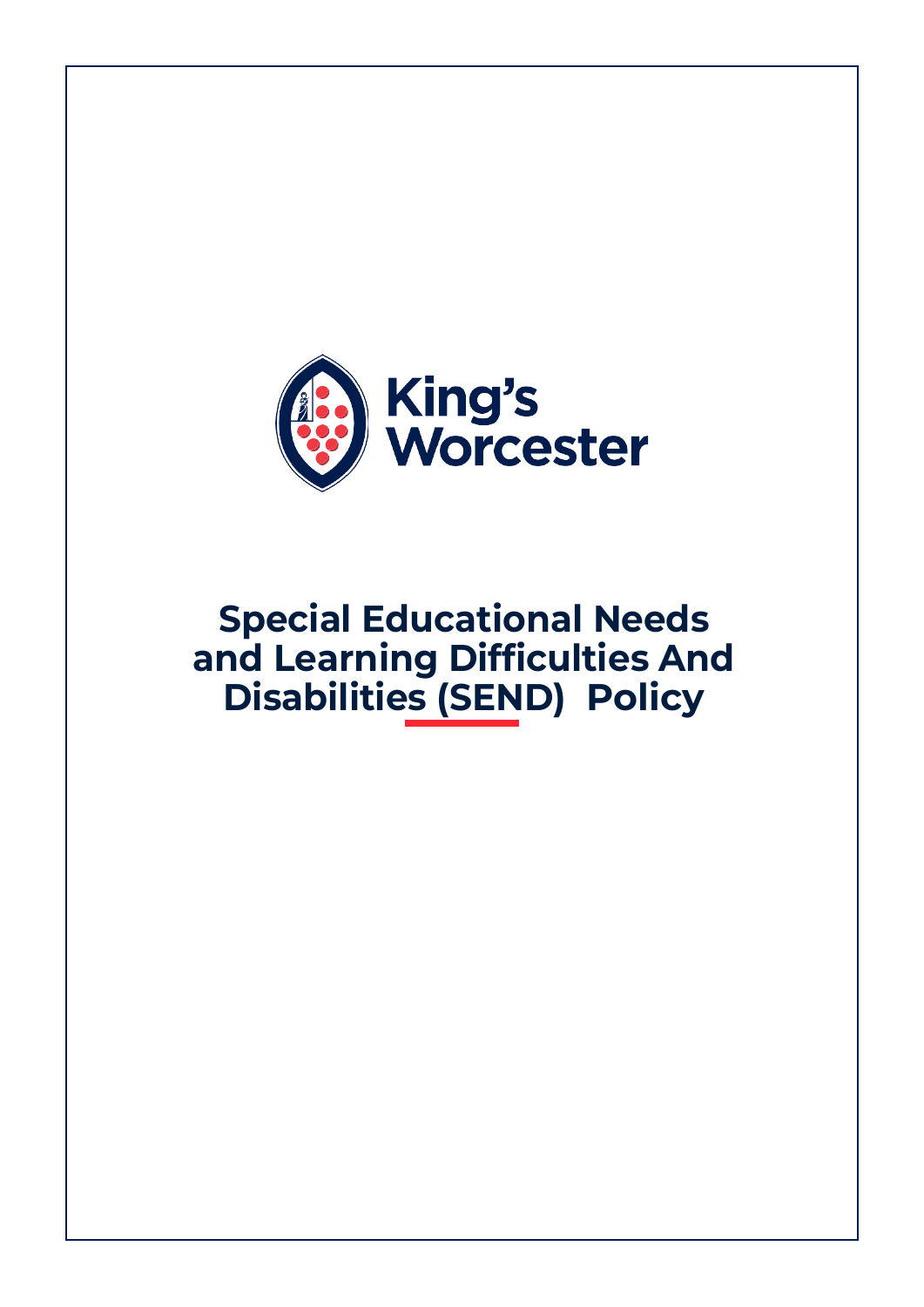

# **Special Educational Needs and Learning Difficulties And Disabilities (SEND) Policy**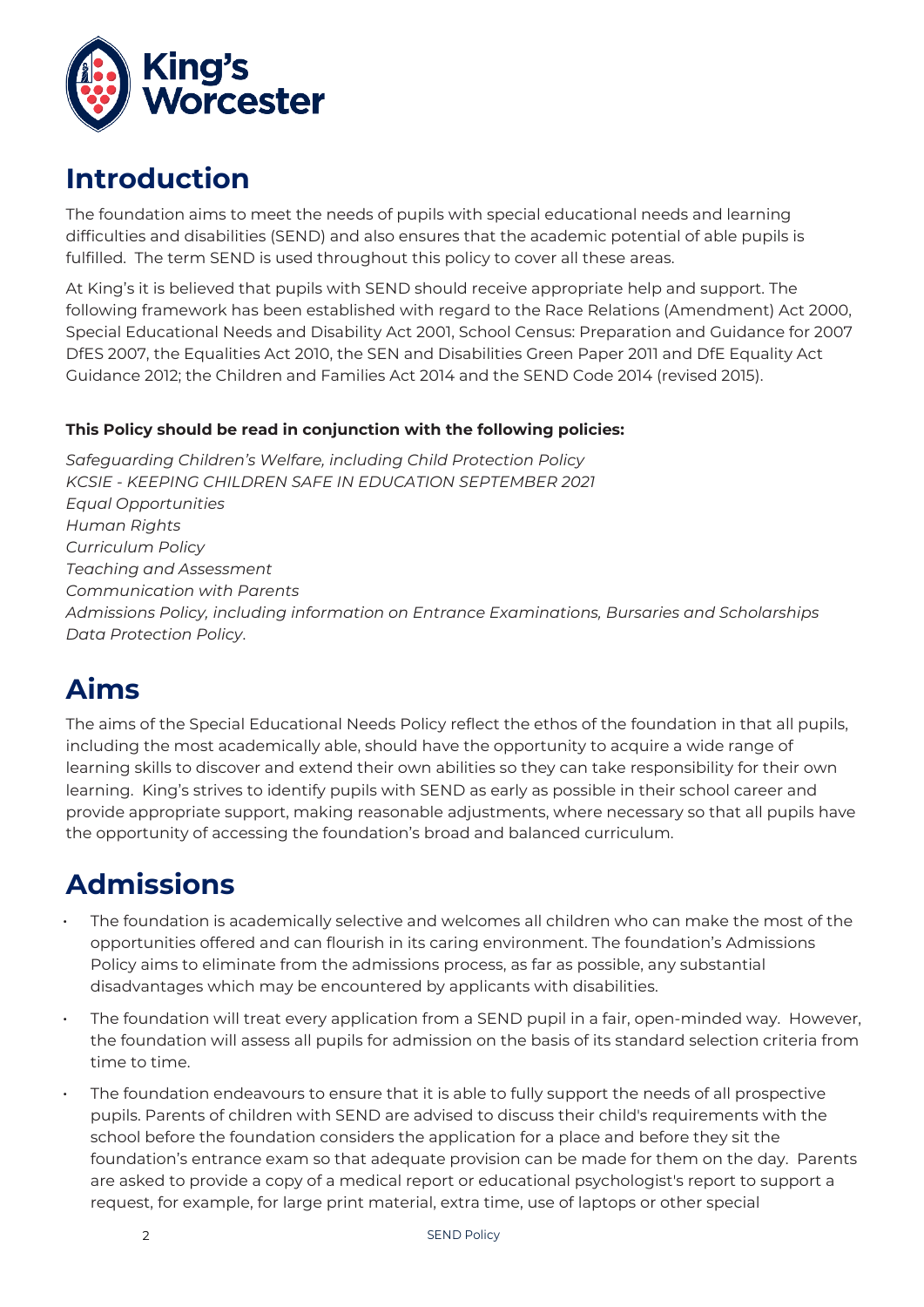

### **Introduction**

The foundation aims to meet the needs of pupils with special educational needs and learning difficulties and disabilities (SEND) and also ensures that the academic potential of able pupils is fulfilled. The term SEND is used throughout this policy to cover all these areas.

At King's it is believed that pupils with SEND should receive appropriate help and support. The following framework has been established with regard to the Race Relations (Amendment) Act 2000, Special Educational Needs and Disability Act 2001, School Census: Preparation and Guidance for 2007 DfES 2007, the Equalities Act 2010, the SEN and Disabilities Green Paper 2011 and DfE Equality Act Guidance 2012; the Children and Families Act 2014 and the SEND Code 2014 (revised 2015).

#### **This Policy should be read in conjunction with the following policies:**

*Safeguarding Children's Welfare, including Child Protection Policy KCSIE - KEEPING CHILDREN SAFE IN EDUCATION SEPTEMBER 2021 Equal Opportunities Human Rights Curriculum Policy Teaching and Assessment Communication with Parents Admissions Policy, including information on Entrance Examinations, Bursaries and Scholarships Data Protection Policy*.

# **Aims**

The aims of the Special Educational Needs Policy reflect the ethos of the foundation in that all pupils, including the most academically able, should have the opportunity to acquire a wide range of learning skills to discover and extend their own abilities so they can take responsibility for their own learning. King's strives to identify pupils with SEND as early as possible in their school career and provide appropriate support, making reasonable adjustments, where necessary so that all pupils have the opportunity of accessing the foundation's broad and balanced curriculum.

# **Admissions**

- The foundation is academically selective and welcomes all children who can make the most of the opportunities offered and can flourish in its caring environment. The foundation's Admissions Policy aims to eliminate from the admissions process, as far as possible, any substantial disadvantages which may be encountered by applicants with disabilities.
- The foundation will treat every application from a SEND pupil in a fair, open-minded way. However, the foundation will assess all pupils for admission on the basis of its standard selection criteria from time to time.
- The foundation endeavours to ensure that it is able to fully support the needs of all prospective pupils. Parents of children with SEND are advised to discuss their child's requirements with the school before the foundation considers the application for a place and before they sit the foundation's entrance exam so that adequate provision can be made for them on the day. Parents are asked to provide a copy of a medical report or educational psychologist's report to support a request, for example, for large print material, extra time, use of laptops or other special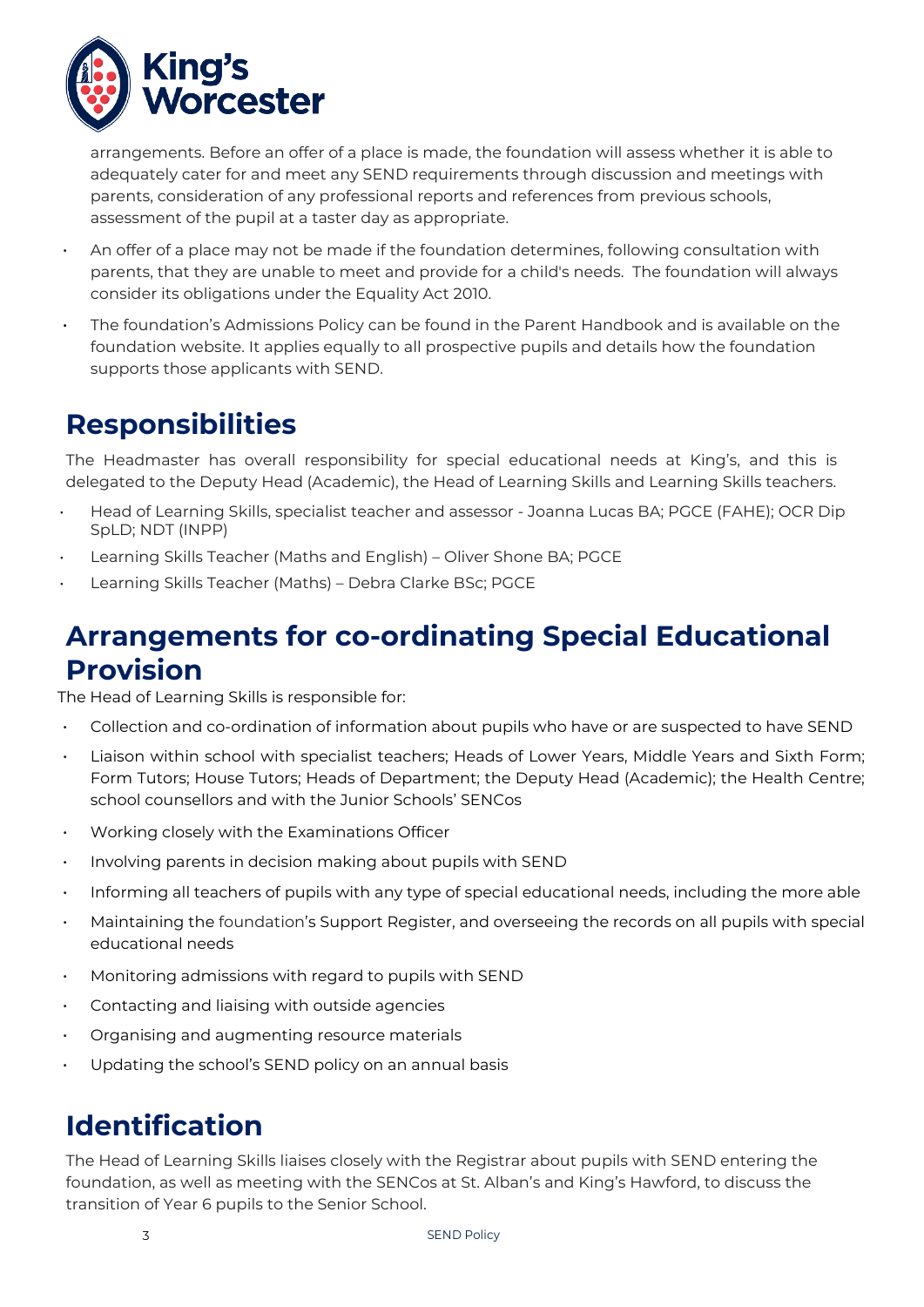

arrangements. Before an offer of a place is made, the foundation will assess whether it is able to adequately cater for and meet any SEND requirements through discussion and meetings with parents, consideration of any professional reports and references from previous schools, assessment of the pupil at a taster day as appropriate.

- An offer of a place may not be made if the foundation determines, following consultation with parents, that they are unable to meet and provide for a child's needs. The foundation will always consider its obligations under the Equality Act 2010.
- The foundation's Admissions Policy can be found in the Parent Handbook and is available on the foundation website. It applies equally to all prospective pupils and details how the foundation supports those applicants with SEND.

### **Responsibilities**

The Headmaster has overall responsibility for special educational needs at King's, and this is delegated to the Deputy Head (Academic), the Head of Learning Skills and Learning Skills teachers.

- Head of Learning Skills, specialist teacher and assessor Joanna Lucas BA; PGCE (FAHE); OCR Dip SpLD; NDT (INPP)
- Learning Skills Teacher (Maths and English) Oliver Shone BA; PGCE
- Learning Skills Teacher (Maths) Debra Clarke BSc; PGCE

### **Arrangements for co-ordinating Special Educational Provision**

The Head of Learning Skills is responsible for:

- Collection and co-ordination of information about pupils who have or are suspected to have SEND
- Liaison within school with specialist teachers; Heads of Lower Years, Middle Years and Sixth Form; Form Tutors; House Tutors; Heads of Department; the Deputy Head (Academic); the Health Centre; school counsellors and with the Junior Schools' SENCos
- Working closely with the Examinations Officer
- Involving parents in decision making about pupils with SEND
- Informing all teachers of pupils with any type of special educational needs, including the more able
- Maintaining the foundation's Support Register, and overseeing the records on all pupils with special educational needs
- Monitoring admissions with regard to pupils with SEND
- Contacting and liaising with outside agencies
- Organising and augmenting resource materials
- Updating the school's SEND policy on an annual basis

# **Identification**

The Head of Learning Skills liaises closely with the Registrar about pupils with SEND entering the foundation, as well as meeting with the SENCos at St. Alban's and King's Hawford, to discuss the transition of Year 6 pupils to the Senior School.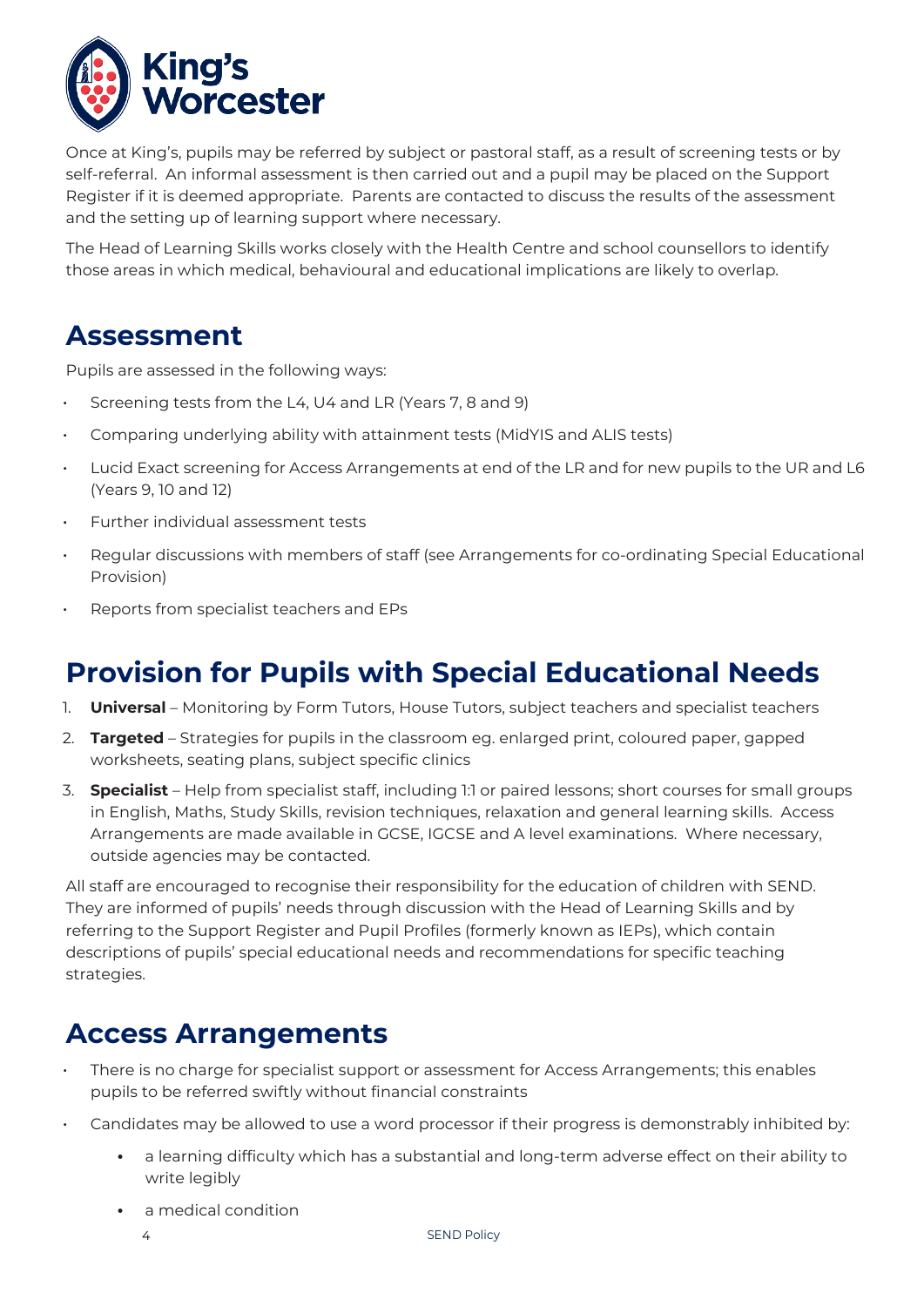

Once at King's, pupils may be referred by subject or pastoral staff, as a result of screening tests or by self-referral. An informal assessment is then carried out and a pupil may be placed on the Support Register if it is deemed appropriate. Parents are contacted to discuss the results of the assessment and the setting up of learning support where necessary.

The Head of Learning Skills works closely with the Health Centre and school counsellors to identify those areas in which medical, behavioural and educational implications are likely to overlap.

### **Assessment**

Pupils are assessed in the following ways:

- Screening tests from the L4, U4 and LR (Years 7, 8 and 9)
- Comparing underlying ability with attainment tests (MidYIS and ALIS tests)
- Lucid Exact screening for Access Arrangements at end of the LR and for new pupils to the UR and L6 (Years 9, 10 and 12)
- Further individual assessment tests
- Regular discussions with members of staff (see Arrangements for co-ordinating Special Educational Provision)
- Reports from specialist teachers and EPs

# **Provision for Pupils with Special Educational Needs**

- 1. **Universal** Monitoring by Form Tutors, House Tutors, subject teachers and specialist teachers
- 2. **Targeted** Strategies for pupils in the classroom eg. enlarged print, coloured paper, gapped worksheets, seating plans, subject specific clinics
- 3. **Specialist** Help from specialist staff, including 1:1 or paired lessons; short courses for small groups in English, Maths, Study Skills, revision techniques, relaxation and general learning skills. Access Arrangements are made available in GCSE, IGCSE and A level examinations. Where necessary, outside agencies may be contacted.

All staff are encouraged to recognise their responsibility for the education of children with SEND. They are informed of pupils' needs through discussion with the Head of Learning Skills and by referring to the Support Register and Pupil Profiles (formerly known as IEPs), which contain descriptions of pupils' special educational needs and recommendations for specific teaching strategies.

### **Access Arrangements**

- There is no charge for specialist support or assessment for Access Arrangements; this enables pupils to be referred swiftly without financial constraints
- Candidates may be allowed to use a word processor if their progress is demonstrably inhibited by:
	- **•** a learning difficulty which has a substantial and long-term adverse effect on their ability to write legibly
	- **•** a medical condition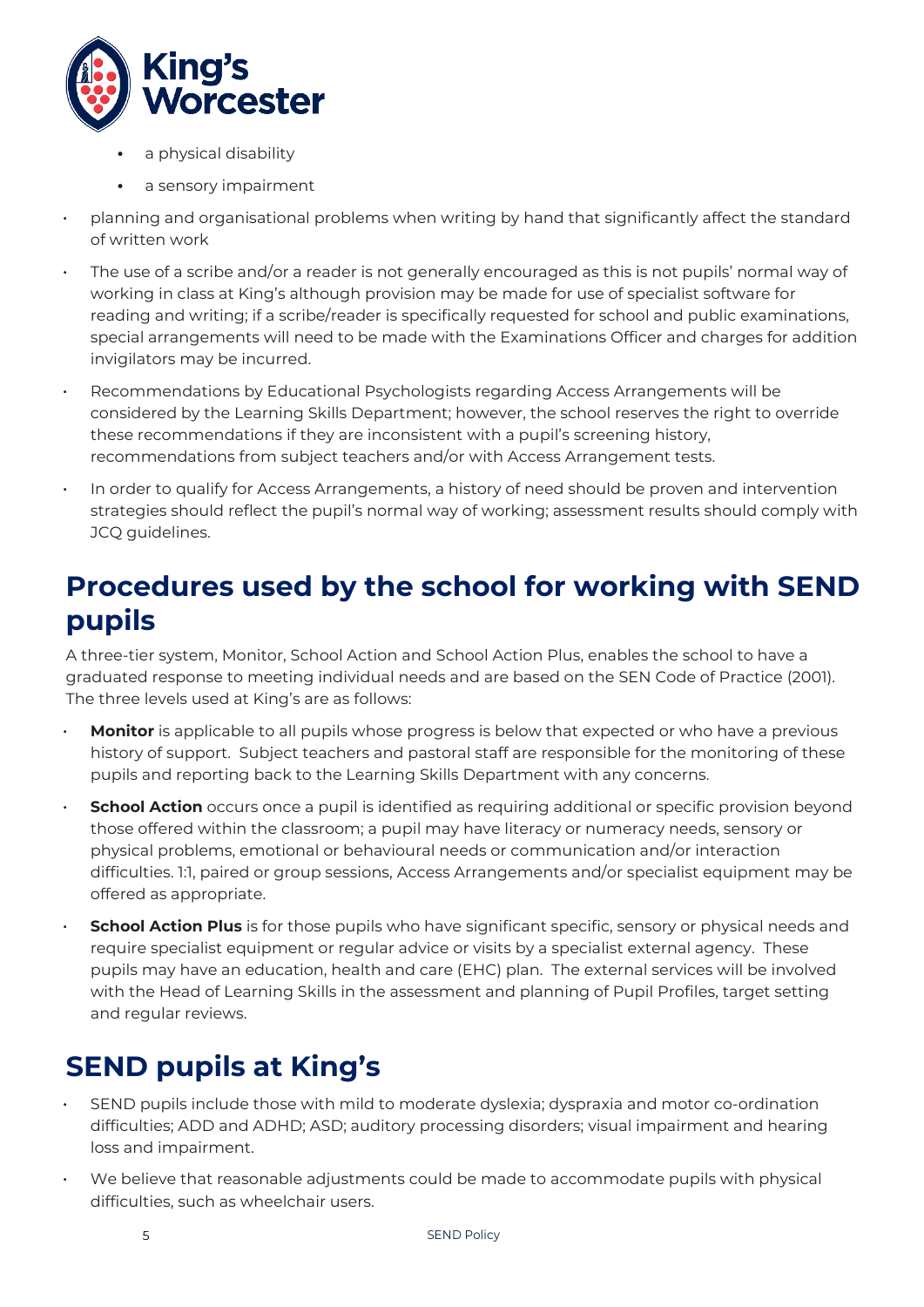

- **•** a physical disability
- **•** a sensory impairment
- planning and organisational problems when writing by hand that significantly affect the standard of written work
- The use of a scribe and/or a reader is not generally encouraged as this is not pupils' normal way of working in class at King's although provision may be made for use of specialist software for reading and writing; if a scribe/reader is specifically requested for school and public examinations, special arrangements will need to be made with the Examinations Officer and charges for addition invigilators may be incurred.
- Recommendations by Educational Psychologists regarding Access Arrangements will be considered by the Learning Skills Department; however, the school reserves the right to override these recommendations if they are inconsistent with a pupil's screening history, recommendations from subject teachers and/or with Access Arrangement tests.
- In order to qualify for Access Arrangements, a history of need should be proven and intervention strategies should reflect the pupil's normal way of working; assessment results should comply with JCQ guidelines.

### **Procedures used by the school for working with SEND pupils**

A three-tier system, Monitor, School Action and School Action Plus, enables the school to have a graduated response to meeting individual needs and are based on the SEN Code of Practice (2001). The three levels used at King's are as follows:

- **Monitor** is applicable to all pupils whose progress is below that expected or who have a previous history of support. Subject teachers and pastoral staff are responsible for the monitoring of these pupils and reporting back to the Learning Skills Department with any concerns.
- **School Action** occurs once a pupil is identified as requiring additional or specific provision beyond those offered within the classroom; a pupil may have literacy or numeracy needs, sensory or physical problems, emotional or behavioural needs or communication and/or interaction difficulties. 1:1, paired or group sessions, Access Arrangements and/or specialist equipment may be offered as appropriate.
- **School Action Plus** is for those pupils who have significant specific, sensory or physical needs and require specialist equipment or regular advice or visits by a specialist external agency. These pupils may have an education, health and care (EHC) plan. The external services will be involved with the Head of Learning Skills in the assessment and planning of Pupil Profiles, target setting and regular reviews.

# **SEND pupils at King's**

- SEND pupils include those with mild to moderate dyslexia; dyspraxia and motor co-ordination difficulties; ADD and ADHD; ASD; auditory processing disorders; visual impairment and hearing loss and impairment.
- We believe that reasonable adjustments could be made to accommodate pupils with physical difficulties, such as wheelchair users.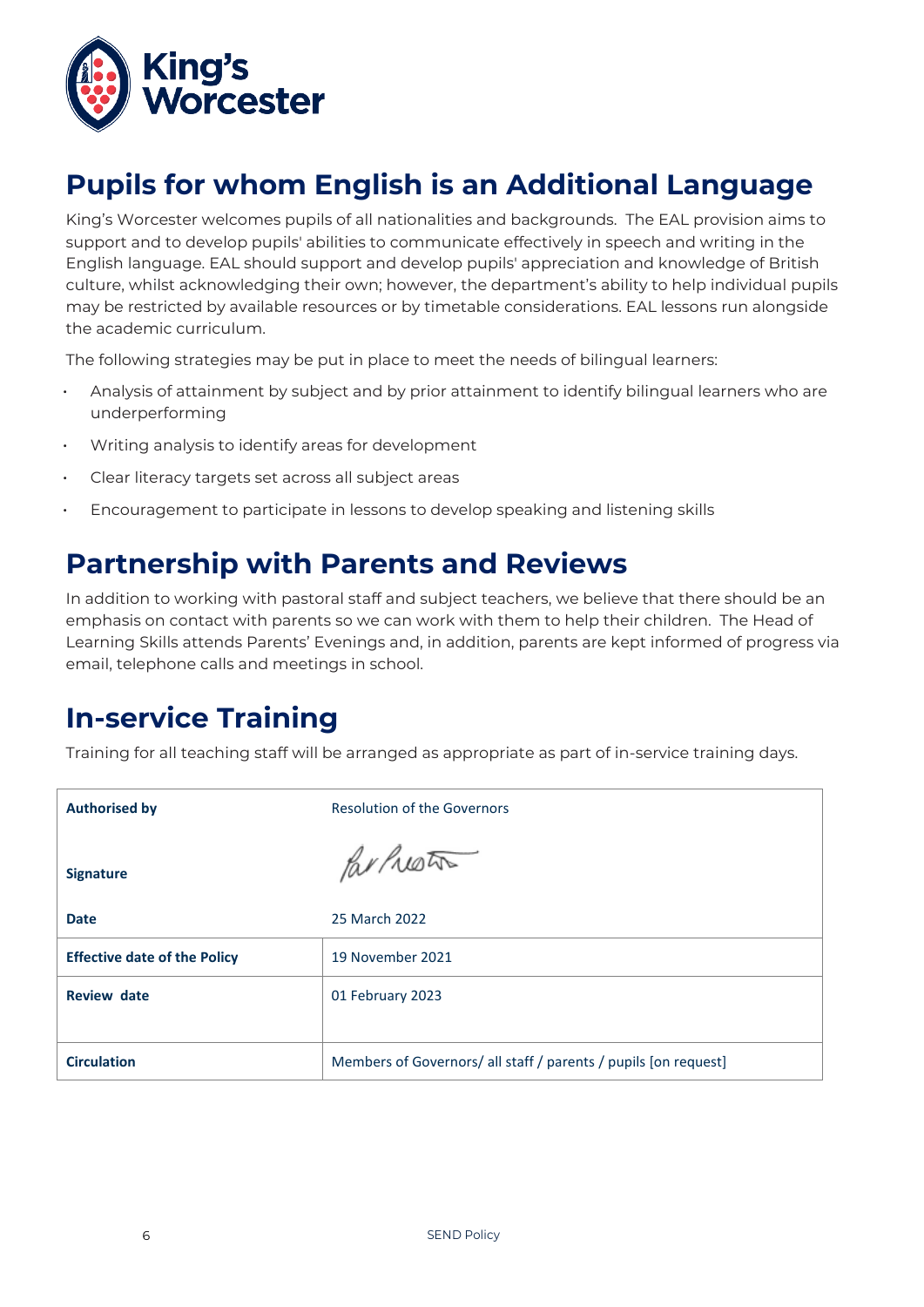

# **Pupils for whom English is an Additional Language**

King's Worcester welcomes pupils of all nationalities and backgrounds. The EAL provision aims to support and to develop pupils' abilities to communicate effectively in speech and writing in the English language. EAL should support and develop pupils' appreciation and knowledge of British culture, whilst acknowledging their own; however, the department's ability to help individual pupils may be restricted by available resources or by timetable considerations. EAL lessons run alongside the academic curriculum.

The following strategies may be put in place to meet the needs of bilingual learners:

- Analysis of attainment by subject and by prior attainment to identify bilingual learners who are underperforming
- Writing analysis to identify areas for development
- Clear literacy targets set across all subject areas
- Encouragement to participate in lessons to develop speaking and listening skills

### **Partnership with Parents and Reviews**

In addition to working with pastoral staff and subject teachers, we believe that there should be an emphasis on contact with parents so we can work with them to help their children. The Head of Learning Skills attends Parents' Evenings and, in addition, parents are kept informed of progress via email, telephone calls and meetings in school.

### **In-service Training**

Training for all teaching staff will be arranged as appropriate as part of in-service training days.

| <b>Authorised by</b>                | <b>Resolution of the Governors</b>                              |
|-------------------------------------|-----------------------------------------------------------------|
| <b>Signature</b>                    | Parluston                                                       |
| <b>Date</b>                         | 25 March 2022                                                   |
| <b>Effective date of the Policy</b> | 19 November 2021                                                |
| <b>Review date</b>                  | 01 February 2023                                                |
|                                     |                                                                 |
| <b>Circulation</b>                  | Members of Governors/ all staff / parents / pupils [on request] |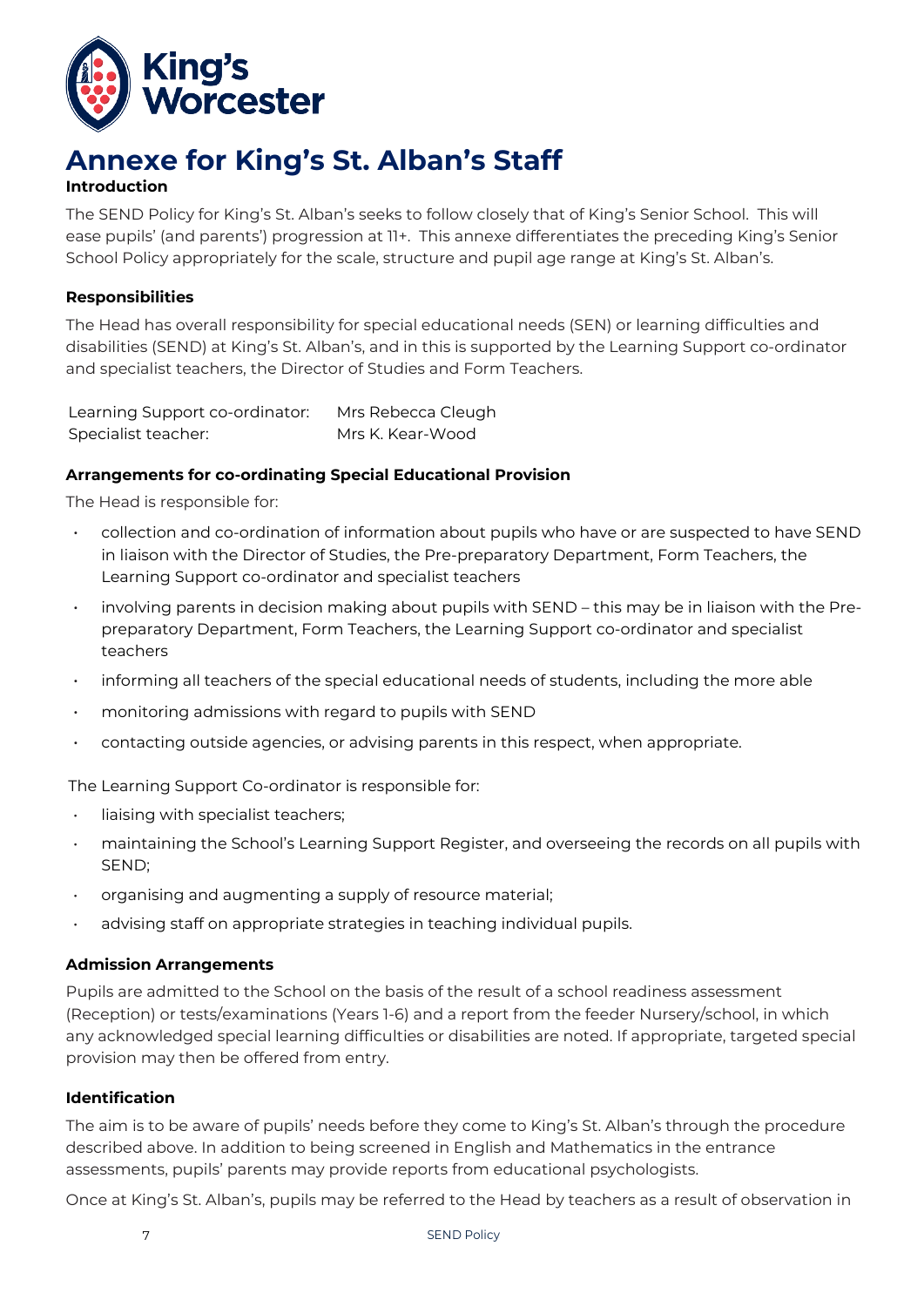

### **Annexe for King's St. Alban's Staff**

#### **Introduction**

The SEND Policy for King's St. Alban's seeks to follow closely that of King's Senior School. This will ease pupils' (and parents') progression at 11+. This annexe differentiates the preceding King's Senior School Policy appropriately for the scale, structure and pupil age range at King's St. Alban's.

#### **Responsibilities**

The Head has overall responsibility for special educational needs (SEN) or learning difficulties and disabilities (SEND) at King's St. Alban's, and in this is supported by the Learning Support co-ordinator and specialist teachers, the Director of Studies and Form Teachers.

Learning Support co-ordinator: Mrs Rebecca Cleugh Specialist teacher: Mrs K. Kear-Wood

#### **Arrangements for co-ordinating Special Educational Provision**

The Head is responsible for:

- collection and co-ordination of information about pupils who have or are suspected to have SEND in liaison with the Director of Studies, the Pre-preparatory Department, Form Teachers, the Learning Support co-ordinator and specialist teachers
- involving parents in decision making about pupils with SEND this may be in liaison with the Prepreparatory Department, Form Teachers, the Learning Support co-ordinator and specialist teachers
- informing all teachers of the special educational needs of students, including the more able
- monitoring admissions with regard to pupils with SEND
- contacting outside agencies, or advising parents in this respect, when appropriate.

The Learning Support Co-ordinator is responsible for:

- liaising with specialist teachers;
- maintaining the School's Learning Support Register, and overseeing the records on all pupils with SEND;
- organising and augmenting a supply of resource material;
- advising staff on appropriate strategies in teaching individual pupils.

#### **Admission Arrangements**

Pupils are admitted to the School on the basis of the result of a school readiness assessment (Reception) or tests/examinations (Years 1-6) and a report from the feeder Nursery/school, in which any acknowledged special learning difficulties or disabilities are noted. If appropriate, targeted special provision may then be offered from entry.

#### **Identification**

The aim is to be aware of pupils' needs before they come to King's St. Alban's through the procedure described above. In addition to being screened in English and Mathematics in the entrance assessments, pupils' parents may provide reports from educational psychologists.

Once at King's St. Alban's, pupils may be referred to the Head by teachers as a result of observation in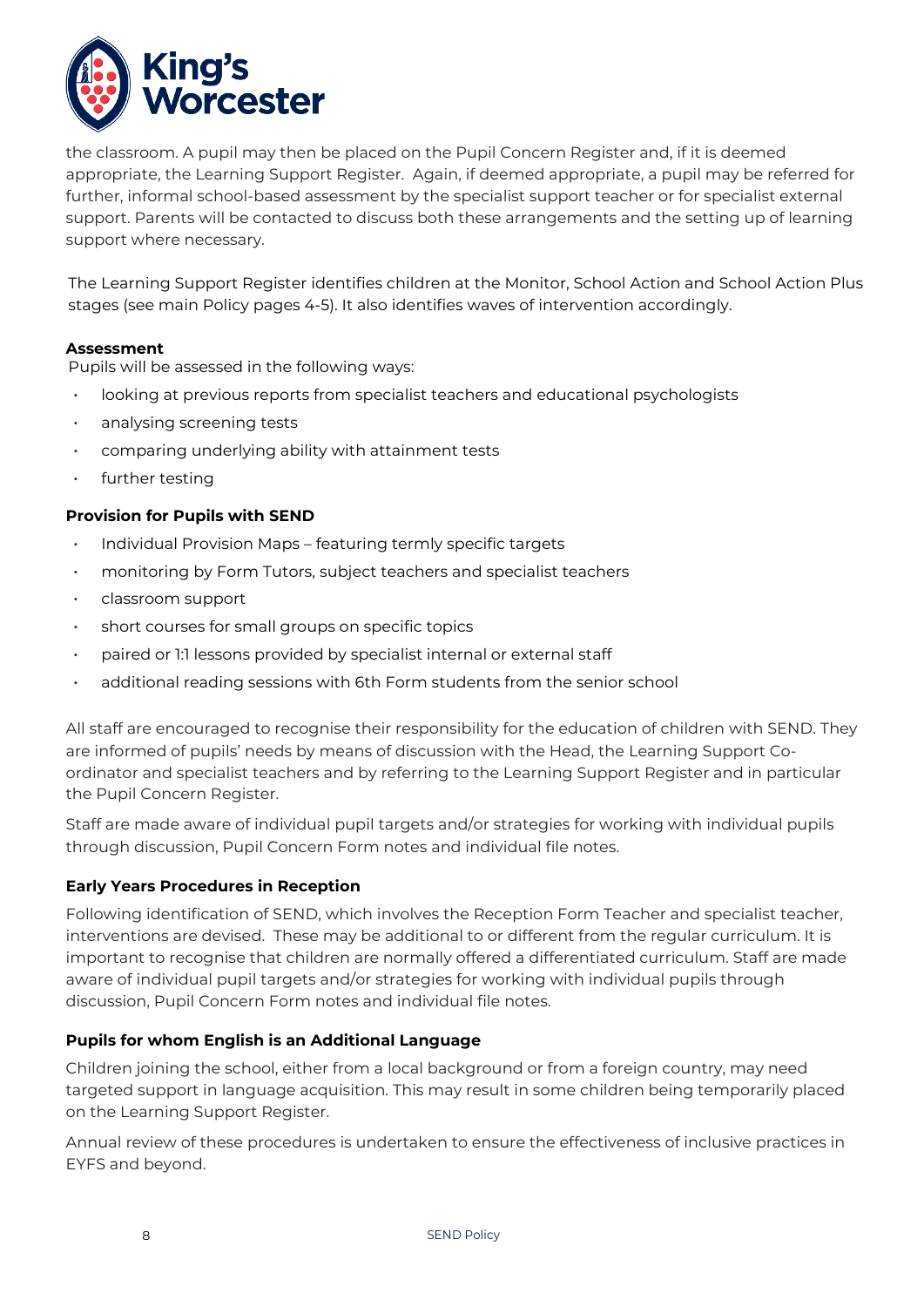

the classroom. A pupil may then be placed on the Pupil Concern Register and, if it is deemed appropriate, the Learning Support Register. Again, if deemed appropriate, a pupil may be referred for further, informal school-based assessment by the specialist support teacher or for specialist external support. Parents will be contacted to discuss both these arrangements and the setting up of learning support where necessary.

The Learning Support Register identifies children at the Monitor, School Action and School Action Plus stages (see main Policy pages 4-5). It also identifies waves of intervention accordingly.

#### **Assessment**

Pupils will be assessed in the following ways:

- looking at previous reports from specialist teachers and educational psychologists
- analysing screening tests
- comparing underlying ability with attainment tests
- further testing

#### **Provision for Pupils with SEND**

- Individual Provision Maps featuring termly specific targets
- monitoring by Form Tutors, subject teachers and specialist teachers
- classroom support
- short courses for small groups on specific topics
- paired or 1:1 lessons provided by specialist internal or external staff
- additional reading sessions with 6th Form students from the senior school

All staff are encouraged to recognise their responsibility for the education of children with SEND. They are informed of pupils' needs by means of discussion with the Head, the Learning Support Coordinator and specialist teachers and by referring to the Learning Support Register and in particular the Pupil Concern Register.

Staff are made aware of individual pupil targets and/or strategies for working with individual pupils through discussion, Pupil Concern Form notes and individual file notes.

#### **Early Years Procedures in Reception**

Following identification of SEND, which involves the Reception Form Teacher and specialist teacher, interventions are devised. These may be additional to or different from the regular curriculum. It is important to recognise that children are normally offered a differentiated curriculum. Staff are made aware of individual pupil targets and/or strategies for working with individual pupils through discussion, Pupil Concern Form notes and individual file notes.

#### **Pupils for whom English is an Additional Language**

Children joining the school, either from a local background or from a foreign country, may need targeted support in language acquisition. This may result in some children being temporarily placed on the Learning Support Register.

Annual review of these procedures is undertaken to ensure the effectiveness of inclusive practices in EYFS and beyond.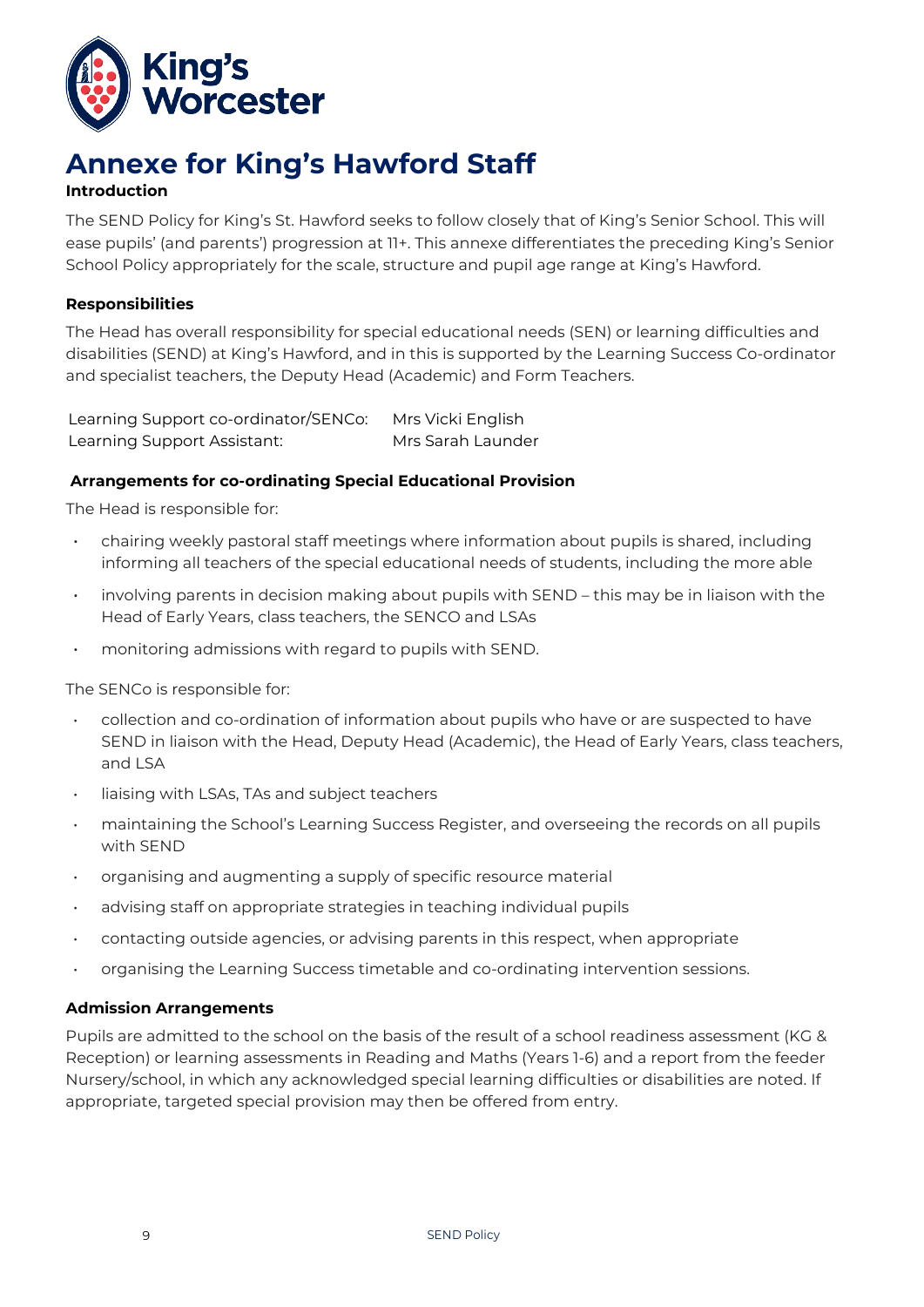

# **Annexe for King's Hawford Staff**

#### **Introduction**

The SEND Policy for King's St. Hawford seeks to follow closely that of King's Senior School. This will ease pupils' (and parents') progression at 11+. This annexe differentiates the preceding King's Senior School Policy appropriately for the scale, structure and pupil age range at King's Hawford.

#### **Responsibilities**

The Head has overall responsibility for special educational needs (SEN) or learning difficulties and disabilities (SEND) at King's Hawford, and in this is supported by the Learning Success Co-ordinator and specialist teachers, the Deputy Head (Academic) and Form Teachers.

| Learning Support co-ordinator/SENCo: Mrs Vicki English |                   |
|--------------------------------------------------------|-------------------|
| Learning Support Assistant:                            | Mrs Sarah Launder |

#### **Arrangements for co-ordinating Special Educational Provision**

The Head is responsible for:

- chairing weekly pastoral staff meetings where information about pupils is shared, including informing all teachers of the special educational needs of students, including the more able
- involving parents in decision making about pupils with SEND this may be in liaison with the Head of Early Years, class teachers, the SENCO and LSAs
- monitoring admissions with regard to pupils with SEND.

The SENCo is responsible for:

- collection and co-ordination of information about pupils who have or are suspected to have SEND in liaison with the Head, Deputy Head (Academic), the Head of Early Years, class teachers, and LSA
- liaising with LSAs, TAs and subject teachers
- maintaining the School's Learning Success Register, and overseeing the records on all pupils with SEND
- organising and augmenting a supply of specific resource material
- advising staff on appropriate strategies in teaching individual pupils
- contacting outside agencies, or advising parents in this respect, when appropriate
- organising the Learning Success timetable and co-ordinating intervention sessions.

#### **Admission Arrangements**

Pupils are admitted to the school on the basis of the result of a school readiness assessment (KG & Reception) or learning assessments in Reading and Maths (Years 1-6) and a report from the feeder Nursery/school, in which any acknowledged special learning difficulties or disabilities are noted. If appropriate, targeted special provision may then be offered from entry.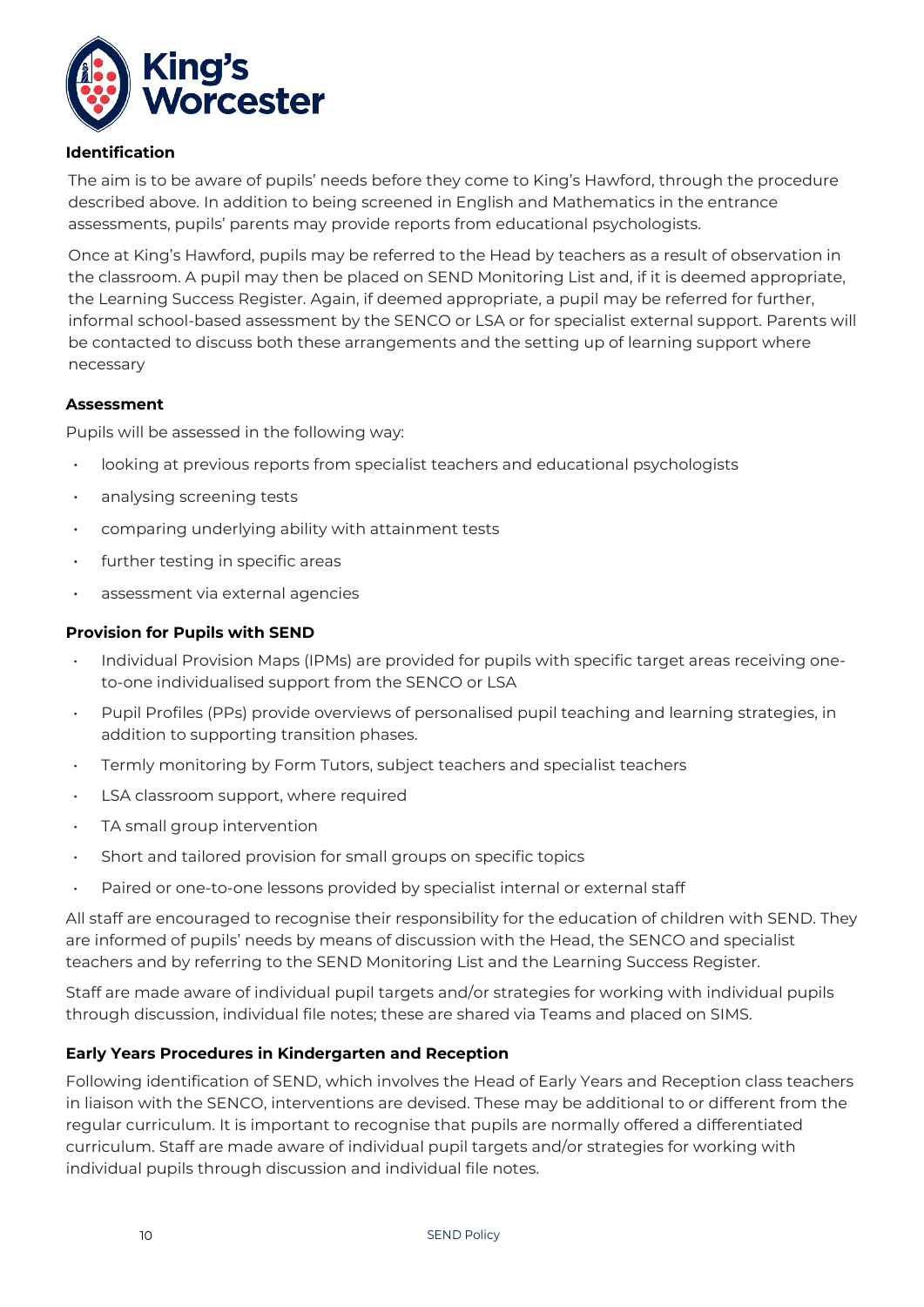

#### **Identification**

The aim is to be aware of pupils' needs before they come to King's Hawford, through the procedure described above. In addition to being screened in English and Mathematics in the entrance assessments, pupils' parents may provide reports from educational psychologists.

Once at King's Hawford, pupils may be referred to the Head by teachers as a result of observation in the classroom. A pupil may then be placed on SEND Monitoring List and, if it is deemed appropriate, the Learning Success Register. Again, if deemed appropriate, a pupil may be referred for further, informal school-based assessment by the SENCO or LSA or for specialist external support. Parents will be contacted to discuss both these arrangements and the setting up of learning support where necessary

#### **Assessment**

Pupils will be assessed in the following way:

- looking at previous reports from specialist teachers and educational psychologists
- analysing screening tests
- comparing underlying ability with attainment tests
- $\cdot$  further testing in specific areas
- assessment via external agencies

#### **Provision for Pupils with SEND**

- Individual Provision Maps (IPMs) are provided for pupils with specific target areas receiving oneto-one individualised support from the SENCO or LSA
- Pupil Profiles (PPs) provide overviews of personalised pupil teaching and learning strategies, in addition to supporting transition phases.
- Termly monitoring by Form Tutors, subject teachers and specialist teachers
- LSA classroom support, where required
- TA small group intervention
- Short and tailored provision for small groups on specific topics
- Paired or one-to-one lessons provided by specialist internal or external staff

All staff are encouraged to recognise their responsibility for the education of children with SEND. They are informed of pupils' needs by means of discussion with the Head, the SENCO and specialist teachers and by referring to the SEND Monitoring List and the Learning Success Register.

Staff are made aware of individual pupil targets and/or strategies for working with individual pupils through discussion, individual file notes; these are shared via Teams and placed on SIMS.

#### **Early Years Procedures in Kindergarten and Reception**

Following identification of SEND, which involves the Head of Early Years and Reception class teachers in liaison with the SENCO, interventions are devised. These may be additional to or different from the regular curriculum. It is important to recognise that pupils are normally offered a differentiated curriculum. Staff are made aware of individual pupil targets and/or strategies for working with individual pupils through discussion and individual file notes.